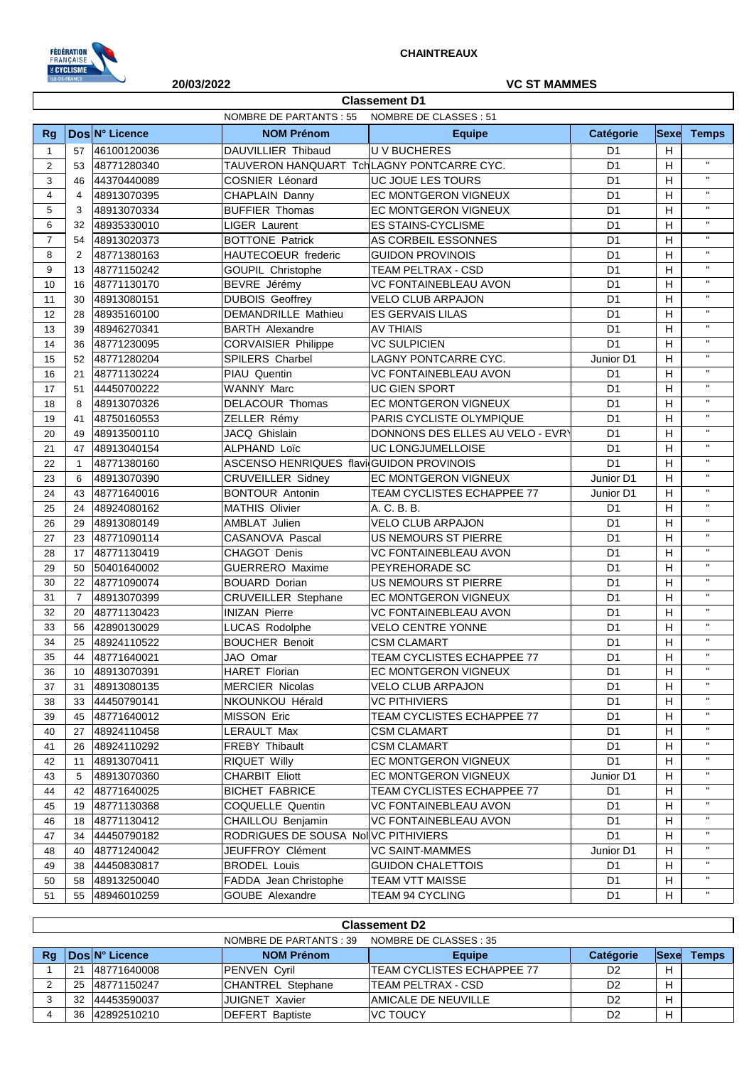

 $\lceil$ 

## **20/03/2022 VC ST MAMMES**

|                |                |                | <b>NOMBRE DE PARTANTS: 55</b>             | NOMBRE DE CLASSES : 51           |                |              |              |
|----------------|----------------|----------------|-------------------------------------------|----------------------------------|----------------|--------------|--------------|
|                |                |                |                                           |                                  |                |              |              |
| Rg             |                | Dos N° Licence | <b>NOM Prénom</b>                         | <b>Equipe</b>                    | Catégorie      | <b>Sexe</b>  | <b>Temps</b> |
| $\mathbf{1}$   | 57             | 46100120036    | DAUVILLIER Thibaud                        | <b>UV BUCHERES</b>               | D <sub>1</sub> | H            |              |
| $\overline{2}$ | 53             | 48771280340    | TAUVERON HANQUART TchLAGNY PONTCARRE CYC. |                                  | D <sub>1</sub> | Н            | $\mathbf{H}$ |
| 3              | 46             | 44370440089    | <b>COSNIER Léonard</b>                    | UC JOUE LES TOURS                | D <sub>1</sub> | H            | $\mathbf{H}$ |
| 4              | 4              | 48913070395    | CHAPLAIN Danny                            | EC MONTGERON VIGNEUX             | D <sub>1</sub> | H            | $\mathbf{H}$ |
| 5              | 3              | 48913070334    | <b>BUFFIER Thomas</b>                     | EC MONTGERON VIGNEUX             | D <sub>1</sub> | H            | $\mathbf{H}$ |
| 6              | 32             | 48935330010    | <b>LIGER Laurent</b>                      | <b>ES STAINS-CYCLISME</b>        | D <sub>1</sub> | н            | $\mathbf{H}$ |
| $\overline{7}$ | 54             | 48913020373    | <b>BOTTONE Patrick</b>                    | AS CORBEIL ESSONNES              | D <sub>1</sub> | $\mathsf{H}$ | $\mathbf{H}$ |
| 8              | 2              | 48771380163    | HAUTECOEUR frederic                       | <b>GUIDON PROVINOIS</b>          | D <sub>1</sub> | H            | $\mathbf{H}$ |
| 9              | 13             | 48771150242    | <b>GOUPIL Christophe</b>                  | TEAM PELTRAX - CSD               | D <sub>1</sub> | H            | $\mathbf{H}$ |
| 10             | 16             | 48771130170    | BEVRE Jérémy                              | <b>VC FONTAINEBLEAU AVON</b>     | D <sub>1</sub> | $\mathsf{H}$ | $\mathbf{H}$ |
| 11             | 30             | 48913080151    | <b>DUBOIS Geoffrey</b>                    | <b>VELO CLUB ARPAJON</b>         | D <sub>1</sub> | $\mathsf{H}$ | $\mathbf{H}$ |
| 12             | 28             | 48935160100    | <b>DEMANDRILLE Mathieu</b>                | <b>ES GERVAIS LILAS</b>          | D <sub>1</sub> | H            | $\mathbf{H}$ |
| 13             | 39             | 48946270341    | <b>BARTH Alexandre</b>                    | <b>AV THIAIS</b>                 | D <sub>1</sub> | H            | $\mathbf{H}$ |
| 14             | 36             | 48771230095    | <b>CORVAISIER Philippe</b>                | <b>VC SULPICIEN</b>              | D <sub>1</sub> | H            | $\mathbf{H}$ |
| 15             | 52             | 48771280204    | <b>SPILERS Charbel</b>                    | LAGNY PONTCARRE CYC.             | Junior D1      | H            | $\mathbf{H}$ |
| 16             | 21             | 48771130224    | PIAU Quentin                              | VC FONTAINEBLEAU AVON            | D <sub>1</sub> | H            | $\mathbf{H}$ |
| 17             | 51             | 44450700222    | WANNY Marc                                | <b>UC GIEN SPORT</b>             | D <sub>1</sub> | H            | $\mathbf{H}$ |
| 18             | 8              | 48913070326    | DELACOUR Thomas                           | EC MONTGERON VIGNEUX             | D <sub>1</sub> | H            | $\mathbf{H}$ |
| 19             | 41             | 48750160553    | ZELLER Rémy                               | PARIS CYCLISTE OLYMPIQUE         | D <sub>1</sub> | H            | $\mathbf{H}$ |
| 20             | 49             | 48913500110    | JACQ Ghislain                             | DONNONS DES ELLES AU VELO - EVRY | D <sub>1</sub> | H            | $\mathbf{H}$ |
| 21             | 47             | 48913040154    | <b>ALPHAND Loïc</b>                       | <b>UC LONGJUMELLOISE</b>         | D <sub>1</sub> | $\mathsf{H}$ | $\mathbf{H}$ |
| 22             | $\mathbf{1}$   | 48771380160    | ASCENSO HENRIQUES flavi GUIDON PROVINOIS  |                                  | D <sub>1</sub> | H            | $\mathbf{H}$ |
| 23             | 6              | 48913070390    | <b>CRUVEILLER Sidney</b>                  | EC MONTGERON VIGNEUX             | Junior D1      | Н            | $\mathbf{H}$ |
| 24             | 43             | 48771640016    | <b>BONTOUR Antonin</b>                    | TEAM CYCLISTES ECHAPPEE 77       | Junior D1      | H            | $\mathbf{H}$ |
| 25             | 24             | 48924080162    | <b>MATHIS Olivier</b>                     | A. C. B. B.                      | D <sub>1</sub> | $\mathsf{H}$ | $\mathbf{H}$ |
| 26             | 29             | 48913080149    | AMBLAT Julien                             | <b>VELO CLUB ARPAJON</b>         | D <sub>1</sub> | Н            | $\mathbf{H}$ |
| 27             | 23             | 48771090114    | CASANOVA Pascal                           | US NEMOURS ST PIERRE             | D <sub>1</sub> | Н            | $\mathbf{H}$ |
| 28             | 17             | 48771130419    | CHAGOT Denis                              | VC FONTAINEBLEAU AVON            | D <sub>1</sub> | H            | $\mathbf{H}$ |
| 29             | 50             | 50401640002    | <b>GUERRERO</b> Maxime                    | PEYREHORADE SC                   | D <sub>1</sub> | H            | $\mathbf{H}$ |
| 30             | 22             | 48771090074    | <b>BOUARD Dorian</b>                      | US NEMOURS ST PIERRE             | D <sub>1</sub> | H            | $\mathbf{H}$ |
| 31             | $\overline{7}$ | 48913070399    | <b>CRUVEILLER Stephane</b>                | EC MONTGERON VIGNEUX             | D <sub>1</sub> | H            | $\mathbf{H}$ |
| 32             | 20             | 48771130423    | <b>INIZAN Pierre</b>                      | <b>VC FONTAINEBLEAU AVON</b>     | D <sub>1</sub> | Н            | $\mathbf{H}$ |
| 33             | 56             | 42890130029    | LUCAS Rodolphe                            | <b>VELO CENTRE YONNE</b>         | D <sub>1</sub> | H            | $\mathbf{H}$ |
| 34             | 25             | 48924110522    | <b>BOUCHER Benoit</b>                     | <b>CSM CLAMART</b>               | D <sub>1</sub> | H            | $\mathbf{H}$ |
| 35             | 44             | 48771640021    | JAO Omar                                  | TEAM CYCLISTES ECHAPPEE 77       | D <sub>1</sub> | H            | $\mathbf{H}$ |
| 36             | 10             | 48913070391    | <b>HARET Florian</b>                      | EC MONTGERON VIGNEUX             | D1             | н            | $\mathbf H$  |
| 37             | 31             | 48913080135    | <b>MERCIER Nicolas</b>                    | VELO CLUB ARPAJON                | D <sub>1</sub> | н            |              |
| 38             | 33             | 44450790141    | NKOUNKOU Hérald                           | <b>VC PITHIVIERS</b>             | D <sub>1</sub> | н            | $\mathbf{H}$ |
| 39             | 45             | 48771640012    | <b>MISSON Eric</b>                        | TEAM CYCLISTES ECHAPPEE 77       | D <sub>1</sub> | н            | $\mathbf{H}$ |
| 40             | 27             | 48924110458    | LERAULT Max                               | <b>CSM CLAMART</b>               | D <sub>1</sub> | н            | $\mathbf{H}$ |
| 41             | 26             | 48924110292    | <b>FREBY Thibault</b>                     | <b>CSM CLAMART</b>               | D <sub>1</sub> | н            | $\mathbf{H}$ |
| 42             | 11             | 48913070411    | RIQUET Willy                              | EC MONTGERON VIGNEUX             | D <sub>1</sub> | H            | $\mathbf{H}$ |
| 43             | 5              | 48913070360    | <b>CHARBIT Eliott</b>                     | EC MONTGERON VIGNEUX             | Junior D1      | H            | н.           |
| 44             | 42             | 48771640025    | <b>BICHET FABRICE</b>                     | TEAM CYCLISTES ECHAPPEE 77       | D <sub>1</sub> | H            | $\mathbf{H}$ |
| 45             | 19             | 48771130368    | <b>COQUELLE Quentin</b>                   | <b>VC FONTAINEBLEAU AVON</b>     | D1             | Н            | $\mathbf{H}$ |
| 46             | 18             | 48771130412    | CHAILLOU Benjamin                         | <b>VC FONTAINEBLEAU AVON</b>     | D <sub>1</sub> | н            | $\mathbf{H}$ |
| 47             | 34             | 44450790182    | RODRIGUES DE SOUSA NollVC PITHIVIERS      |                                  | D <sub>1</sub> | н            | $\mathbf{H}$ |
| 48             | 40             | 48771240042    | JEUFFROY Clément                          | <b>VC SAINT-MAMMES</b>           | Junior D1      | н            | $\mathbf{H}$ |
| 49             | 38             | 44450830817    | <b>BRODEL Louis</b>                       | <b>GUIDON CHALETTOIS</b>         | D1             | н            | н.           |
| 50             | 58             | 48913250040    | FADDA Jean Christophe                     | TEAM VTT MAISSE                  | D <sub>1</sub> | н            | $\mathbf{H}$ |
| 51             | 55             | 48946010259    | GOUBE Alexandre                           | TEAM 94 CYCLING                  | D <sub>1</sub> | н            | $\mathbf{H}$ |

|    | <b>Classement D2</b>                              |                |                           |                             |                |             |              |  |  |
|----|---------------------------------------------------|----------------|---------------------------|-----------------------------|----------------|-------------|--------------|--|--|
|    | NOMBRE DE CLASSES : 35<br>NOMBRE DE PARTANTS : 39 |                |                           |                             |                |             |              |  |  |
| Rg |                                                   | DosIN° Licence | <b>NOM Prénom</b>         | <b>Equipe</b>               | Catégorie      | <b>Sexe</b> | <b>Temps</b> |  |  |
|    | 21                                                | 148771640008   | PENVEN Cyril              | ITEAM CYCLISTES ECHAPPEE 77 | D <sub>2</sub> | н           |              |  |  |
|    | 25                                                | 148771150247   | <b>ICHANTREL Stephane</b> | ITEAM PELTRAX - CSD         | D <sub>2</sub> | н           |              |  |  |
|    | 32                                                | 44453590037    | <b>JUIGNET Xavier</b>     | AMICALE DE NEUVILLE         | D <sub>2</sub> | н           |              |  |  |
|    | 36                                                | 42892510210    | <b>DEFERT Baptiste</b>    | <b>IVC TOUCY</b>            | D <sub>2</sub> | н           |              |  |  |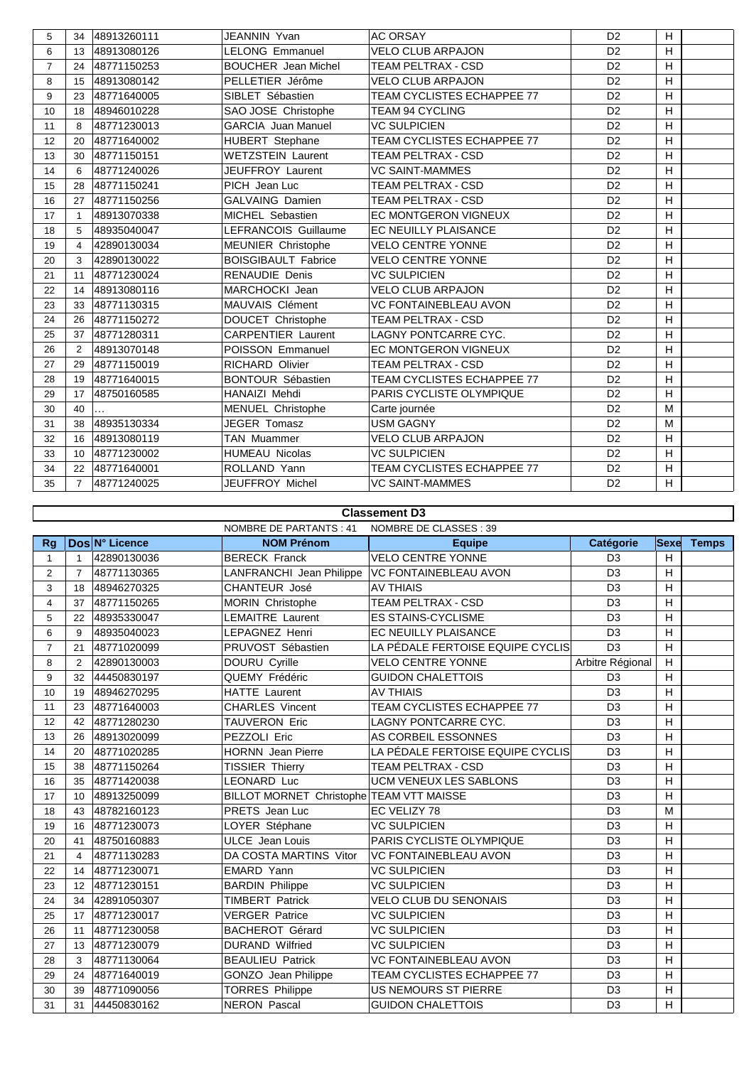| 5              | 34             | 48913260111 | JEANNIN Yvan               | <b>AC ORSAY</b>              | D <sub>2</sub> | H. |  |
|----------------|----------------|-------------|----------------------------|------------------------------|----------------|----|--|
| 6              | 13             | 48913080126 | <b>LELONG Emmanuel</b>     | VELO CLUB ARPAJON            | D <sub>2</sub> | H  |  |
| $\overline{7}$ | 24             | 48771150253 | <b>BOUCHER</b> Jean Michel | <b>TEAM PELTRAX - CSD</b>    | D <sub>2</sub> | H  |  |
| 8              | 15             | 48913080142 | PELLETIER Jérôme           | <b>VELO CLUB ARPAJON</b>     | D <sub>2</sub> | H  |  |
| 9              | 23             | 48771640005 | SIBLET Sébastien           | TEAM CYCLISTES ECHAPPEE 77   | D <sub>2</sub> | H  |  |
| 10             | 18             | 48946010228 | SAO JOSE Christophe        | TEAM 94 CYCLING              | D <sub>2</sub> | H  |  |
| 11             | 8              | 48771230013 | <b>GARCIA Juan Manuel</b>  | <b>VC SULPICIEN</b>          | D <sub>2</sub> | H  |  |
| 12             | 20             | 48771640002 | <b>HUBERT</b> Stephane     | TEAM CYCLISTES ECHAPPEE 77   | D <sub>2</sub> | H  |  |
| 13             | 30             | 48771150151 | <b>WETZSTEIN Laurent</b>   | TEAM PELTRAX - CSD           | D <sub>2</sub> | H  |  |
| 14             | 6              | 48771240026 | <b>JEUFFROY Laurent</b>    | <b>VC SAINT-MAMMES</b>       | D <sub>2</sub> | H  |  |
| 15             | 28             | 48771150241 | PICH Jean Luc              | TEAM PELTRAX - CSD           | D <sub>2</sub> | H  |  |
| 16             | 27             | 48771150256 | <b>GALVAING Damien</b>     | <b>TEAM PELTRAX - CSD</b>    | D <sub>2</sub> | H  |  |
| 17             |                | 48913070338 | MICHEL Sebastien           | <b>EC MONTGERON VIGNEUX</b>  | D <sub>2</sub> | H  |  |
| 18             | 5              | 48935040047 | LEFRANCOIS Guillaume       | EC NEUILLY PLAISANCE         | D <sub>2</sub> | H  |  |
| 19             | 4              | 42890130034 | MEUNIER Christophe         | <b>VELO CENTRE YONNE</b>     | D <sub>2</sub> | H  |  |
| 20             | 3              | 42890130022 | <b>BOISGIBAULT Fabrice</b> | <b>VELO CENTRE YONNE</b>     | D <sub>2</sub> | H  |  |
| 21             | 11             | 48771230024 | <b>RENAUDIE Denis</b>      | <b>VC SULPICIEN</b>          | D <sub>2</sub> | H  |  |
| 22             | 14             | 48913080116 | MARCHOCKI Jean             | <b>VELO CLUB ARPAJON</b>     | D <sub>2</sub> | H  |  |
| 23             | 33             | 48771130315 | MAUVAIS Clément            | <b>VC FONTAINEBLEAU AVON</b> | D <sub>2</sub> | H  |  |
| 24             | 26             | 48771150272 | DOUCET Christophe          | <b>TEAM PELTRAX - CSD</b>    | D <sub>2</sub> | H  |  |
| 25             | 37             | 48771280311 | <b>CARPENTIER Laurent</b>  | <b>LAGNY PONTCARRE CYC.</b>  | D <sub>2</sub> | H  |  |
| 26             | $\overline{2}$ | 48913070148 | POISSON Emmanuel           | <b>EC MONTGERON VIGNEUX</b>  | D <sub>2</sub> | H  |  |
| 27             | 29             | 48771150019 | RICHARD Olivier            | TEAM PELTRAX - CSD           | D <sub>2</sub> | H  |  |
| 28             | 19             | 48771640015 | <b>BONTOUR Sébastien</b>   | TEAM CYCLISTES ECHAPPEE 77   | D <sub>2</sub> | H  |  |
| 29             | 17             | 48750160585 | HANAIZI Mehdi              | PARIS CYCLISTE OLYMPIQUE     | D <sub>2</sub> | H  |  |
| 30             | 40             |             | MENUEL Christophe          | Carte journée                | D <sub>2</sub> | M  |  |
| 31             | 38             | 48935130334 | <b>JEGER Tomasz</b>        | <b>USM GAGNY</b>             | D <sub>2</sub> | M  |  |
| 32             | 16             | 48913080119 | TAN Muammer                | <b>VELO CLUB ARPAJON</b>     | D <sub>2</sub> | H  |  |
| 33             | 10             | 48771230002 | <b>HUMEAU Nicolas</b>      | <b>VC SULPICIEN</b>          | D <sub>2</sub> | H  |  |
| 34             | 22             | 48771640001 | ROLLAND Yann               | TEAM CYCLISTES ECHAPPEE 77   | D <sub>2</sub> | H  |  |
| 35             | $\overline{7}$ | 48771240025 | JEUFFROY Michel            | <b>VC SAINT-MAMMES</b>       | D <sub>2</sub> | H  |  |

## **Classement D3**

|                | <b>NOMBRE DE PARTANTS: 41</b> |                |                                          | NOMBRE DE CLASSES : 39           |                  |             |              |  |
|----------------|-------------------------------|----------------|------------------------------------------|----------------------------------|------------------|-------------|--------------|--|
| Rg             |                               | Dos N° Licence | <b>NOM Prénom</b>                        | <b>Equipe</b>                    | <b>Catégorie</b> | <b>Sexe</b> | <b>Temps</b> |  |
| $\mathbf{1}$   | 1                             | 42890130036    | <b>BERECK Franck</b>                     | <b>VELO CENTRE YONNE</b>         | D <sub>3</sub>   | H           |              |  |
| $\overline{2}$ | $\overline{7}$                | 48771130365    | LANFRANCHI Jean Philippe                 | <b>VC FONTAINEBLEAU AVON</b>     | D <sub>3</sub>   | H           |              |  |
| 3              | 18                            | 48946270325    | CHANTEUR José                            | <b>AV THIAIS</b>                 | D <sub>3</sub>   | H           |              |  |
| 4              | 37                            | 48771150265    | <b>MORIN Christophe</b>                  | TEAM PELTRAX - CSD               | D <sub>3</sub>   | H           |              |  |
| 5              | 22                            | 48935330047    | <b>LEMAITRE Laurent</b>                  | <b>ES STAINS-CYCLISME</b>        | D <sub>3</sub>   | H           |              |  |
| 6              | 9                             | 48935040023    | <b>LEPAGNEZ Henri</b>                    | <b>EC NEUILLY PLAISANCE</b>      | D <sub>3</sub>   | H           |              |  |
| $\overline{7}$ | 21                            | 48771020099    | PRUVOST Sébastien                        | LA PÉDALE FERTOISE EQUIPE CYCLIS | D <sub>3</sub>   | H           |              |  |
| 8              | 2                             | 42890130003    | <b>DOURU Cyrille</b>                     | <b>VELO CENTRE YONNE</b>         | Arbitre Régional | H           |              |  |
| 9              | 32                            | 44450830197    | QUEMY Frédéric                           | <b>GUIDON CHALETTOIS</b>         | D <sub>3</sub>   | H           |              |  |
| 10             | 19                            | 48946270295    | <b>HATTE Laurent</b>                     | <b>AV THIAIS</b>                 | D <sub>3</sub>   | H           |              |  |
| 11             | 23                            | 48771640003    | <b>CHARLES Vincent</b>                   | TEAM CYCLISTES ECHAPPEE 77       | D <sub>3</sub>   | H           |              |  |
| 12             | 42                            | 48771280230    | <b>TAUVERON Eric</b>                     | LAGNY PONTCARRE CYC.             | D <sub>3</sub>   | H           |              |  |
| 13             | 26                            | 48913020099    | PEZZOLI Eric                             | AS CORBEIL ESSONNES              | D <sub>3</sub>   | H           |              |  |
| 14             | 20                            | 48771020285    | <b>HORNN</b> Jean Pierre                 | LA PÉDALE FERTOISE EQUIPE CYCLIS | D <sub>3</sub>   | H           |              |  |
| 15             | 38                            | 48771150264    | <b>TISSIER Thierry</b>                   | <b>TEAM PELTRAX - CSD</b>        | D <sub>3</sub>   | H           |              |  |
| 16             | 35                            | 48771420038    | <b>LEONARD Luc</b>                       | <b>UCM VENEUX LES SABLONS</b>    | D <sub>3</sub>   | H           |              |  |
| 17             | 10                            | 48913250099    | BILLOT MORNET Christophe TEAM VTT MAISSE |                                  | D <sub>3</sub>   | H           |              |  |
| 18             | 43                            | 48782160123    | PRETS Jean Luc                           | EC VELIZY 78                     | D <sub>3</sub>   | M           |              |  |
| 19             | 16                            | 48771230073    | LOYER Stéphane                           | <b>VC SULPICIEN</b>              | D <sub>3</sub>   | H           |              |  |
| 20             | 41                            | 48750160883    | <b>ULCE</b> Jean Louis                   | PARIS CYCLISTE OLYMPIQUE         | D <sub>3</sub>   | H           |              |  |
| 21             | 4                             | 48771130283    | DA COSTA MARTINS Vitor                   | <b>VC FONTAINEBLEAU AVON</b>     | D <sub>3</sub>   | H           |              |  |
| 22             | 14                            | 48771230071    | <b>EMARD Yann</b>                        | <b>VC SULPICIEN</b>              | D <sub>3</sub>   | H           |              |  |
| 23             | 12                            | 48771230151    | <b>BARDIN Philippe</b>                   | <b>VC SULPICIEN</b>              | D <sub>3</sub>   | H           |              |  |
| 24             | 34                            | 42891050307    | <b>TIMBERT Patrick</b>                   | <b>VELO CLUB DU SENONAIS</b>     | D <sub>3</sub>   | H           |              |  |
| 25             | 17                            | 48771230017    | <b>VERGER Patrice</b>                    | <b>VC SULPICIEN</b>              | D <sub>3</sub>   | H           |              |  |
| 26             | 11                            | 48771230058    | <b>BACHEROT Gérard</b>                   | <b>VC SULPICIEN</b>              | D <sub>3</sub>   | H           |              |  |
| 27             | 13                            | 48771230079    | <b>DURAND Wilfried</b>                   | <b>VC SULPICIEN</b>              | D <sub>3</sub>   | H           |              |  |
| 28             | 3                             | 48771130064    | <b>BEAULIEU Patrick</b>                  | <b>VC FONTAINEBLEAU AVON</b>     | D <sub>3</sub>   | H           |              |  |
| 29             | 24                            | 48771640019    | GONZO Jean Philippe                      | TEAM CYCLISTES ECHAPPEE 77       | D <sub>3</sub>   | H           |              |  |
| 30             | 39                            | 48771090056    | <b>TORRES Philippe</b>                   | US NEMOURS ST PIERRE             | D <sub>3</sub>   | Н           |              |  |
| 31             | 31                            | 44450830162    | <b>NERON Pascal</b>                      | <b>GUIDON CHALETTOIS</b>         | D <sub>3</sub>   | H           |              |  |
|                |                               |                |                                          |                                  |                  |             |              |  |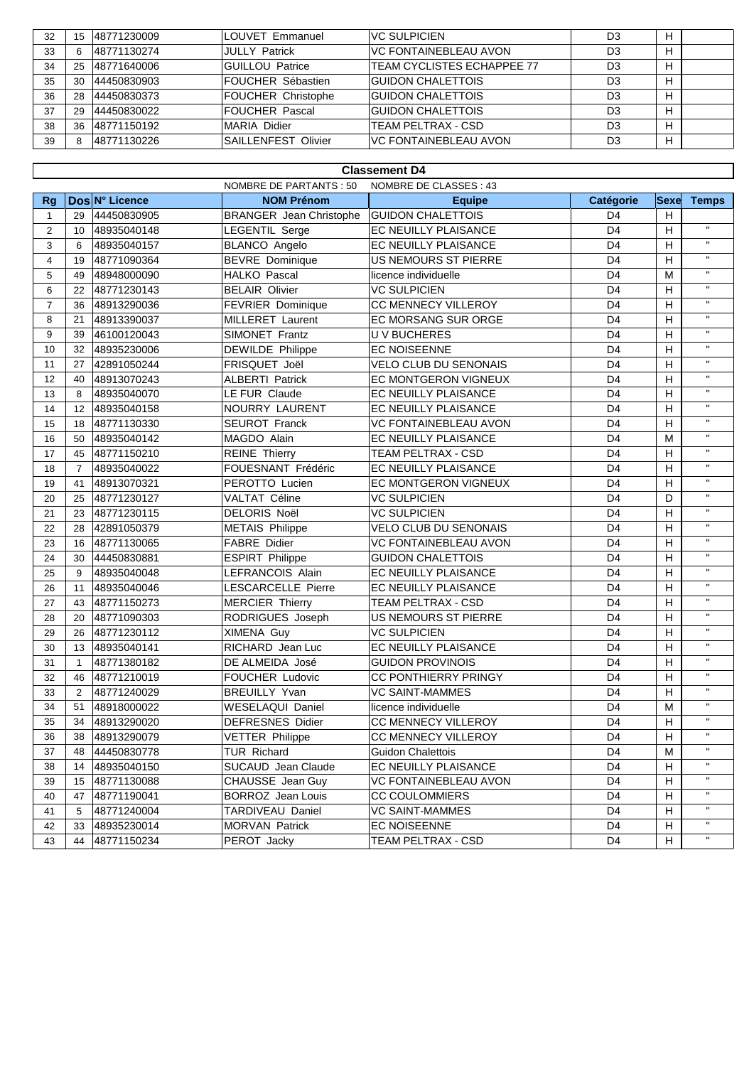| 32 | 15 | 148771230009 | LOUVET Emmanuel           | IVC SULPICIEN                 | D3             | н |  |
|----|----|--------------|---------------------------|-------------------------------|----------------|---|--|
| 33 |    | 148771130274 | <b>JULLY Patrick</b>      | <b>IVC FONTAINEBLEAU AVON</b> | D <sub>3</sub> | н |  |
| 34 | 25 | 148771640006 | <b>IGUILLOU Patrice</b>   | TEAM CYCLISTES ECHAPPEE 77    | D <sub>3</sub> | Н |  |
| 35 | 30 | 44450830903  | <b>IFOUCHER Sébastien</b> | <b>GUIDON CHALETTOIS</b>      | D <sub>3</sub> | Н |  |
| 36 | 28 | 44450830373  | FOUCHER Christophe        | <b>GUIDON CHALETTOIS</b>      | D <sub>3</sub> | н |  |
| 37 | 29 | 44450830022  | IFOUCHER Pascal           | <b>GUIDON CHALETTOIS</b>      | D <sub>3</sub> | н |  |
| 38 | 36 | 148771150192 | MARIA Didier              | TEAM PELTRAX - CSD            | D <sub>3</sub> | н |  |
| 39 |    | 148771130226 | SAILLENFEST Olivier       | IVC FONTAINEBLEAU AVON        | D3             | н |  |

|                | <b>Classement D4</b> |                |                                |                              |                |                |              |  |  |
|----------------|----------------------|----------------|--------------------------------|------------------------------|----------------|----------------|--------------|--|--|
|                |                      |                | NOMBRE DE PARTANTS : 50        | NOMBRE DE CLASSES : 43       |                |                |              |  |  |
| <b>Rg</b>      |                      | Dos N° Licence | <b>NOM Prénom</b>              | <b>Equipe</b>                | Catégorie      | <b>Sexe</b>    | <b>Temps</b> |  |  |
| $\mathbf{1}$   | 29                   | 44450830905    | <b>BRANGER</b> Jean Christophe | <b>GUIDON CHALETTOIS</b>     | D4             | Н              |              |  |  |
| $\overline{2}$ | 10                   | 48935040148    | LEGENTIL Serge                 | <b>EC NEUILLY PLAISANCE</b>  | D4             | H              | $\mathbf{H}$ |  |  |
| 3              | 6                    | 48935040157    | BLANCO Angelo                  | EC NEUILLY PLAISANCE         | D4             | Н              | $\mathbf{H}$ |  |  |
| 4              | 19                   | 48771090364    | <b>BEVRE</b> Dominique         | US NEMOURS ST PIERRE         | D4             | Н              | $\mathbf{H}$ |  |  |
| 5              | 49                   | 48948000090    | <b>HALKO Pascal</b>            | licence individuelle         | D <sub>4</sub> | M              | $\mathbf{H}$ |  |  |
| 6              | 22                   | 48771230143    | <b>BELAIR Olivier</b>          | <b>VC SULPICIEN</b>          | D <sub>4</sub> | н              | $\mathbf{H}$ |  |  |
| $\overline{7}$ | 36                   | 48913290036    | FEVRIER Dominique              | CC MENNECY VILLEROY          | D <sub>4</sub> | H              | $\mathbf{H}$ |  |  |
| 8              | 21                   | 48913390037    | <b>MILLERET Laurent</b>        | EC MORSANG SUR ORGE          | D4             | H              | $\mathbf{H}$ |  |  |
| 9              | 39                   | 46100120043    | SIMONET Frantz                 | <b>UV BUCHERES</b>           | D4             | H              | $\mathbf{H}$ |  |  |
| 10             | 32                   | 48935230006    | DEWILDE Philippe               | <b>EC NOISEENNE</b>          | D <sub>4</sub> | H              | $\mathbf{H}$ |  |  |
| 11             | 27                   | 42891050244    | FRISQUET Joël                  | <b>VELO CLUB DU SENONAIS</b> | D <sub>4</sub> | H              | $\mathbf{H}$ |  |  |
| 12             | 40                   | 48913070243    | <b>ALBERTI Patrick</b>         | EC MONTGERON VIGNEUX         | D <sub>4</sub> | H              | $\mathbf{H}$ |  |  |
| 13             | 8                    | 48935040070    | LE FUR Claude                  | EC NEUILLY PLAISANCE         | D <sub>4</sub> | H              | $\mathbf{H}$ |  |  |
| 14             | 12                   | 48935040158    | NOURRY LAURENT                 | EC NEUILLY PLAISANCE         | D4             | H              | $\mathbf{H}$ |  |  |
| 15             | 18                   | 48771130330    | <b>SEUROT Franck</b>           | VC FONTAINEBLEAU AVON        | D4             | H              | $\mathbf{H}$ |  |  |
| 16             | 50                   | 48935040142    | MAGDO Alain                    | EC NEUILLY PLAISANCE         | D <sub>4</sub> | М              | $\mathbf{u}$ |  |  |
| 17             | 45                   | 48771150210    | <b>REINE Thierry</b>           | <b>TEAM PELTRAX - CSD</b>    | D4             | н              | $\mathbf{H}$ |  |  |
| 18             | $\overline{7}$       | 48935040022    | FOUESNANT Frédéric             | EC NEUILLY PLAISANCE         | D4             | Н              | $\mathbf{H}$ |  |  |
| 19             | 41                   | 48913070321    | PEROTTO Lucien                 | <b>EC MONTGERON VIGNEUX</b>  | D4             | H              | $\mathbf{H}$ |  |  |
| 20             | 25                   | 48771230127    | VALTAT Céline                  | <b>VC SULPICIEN</b>          | D <sub>4</sub> | D              | $\mathbf{H}$ |  |  |
| 21             | 23                   | 48771230115    | <b>DELORIS Noël</b>            | <b>VC SULPICIEN</b>          | D <sub>4</sub> | H              | $\mathbf{H}$ |  |  |
| 22             | 28                   | 42891050379    | <b>METAIS Philippe</b>         | <b>VELO CLUB DU SENONAIS</b> | D <sub>4</sub> | H              | $\mathbf{H}$ |  |  |
| 23             | 16                   | 48771130065    | <b>FABRE Didier</b>            | VC FONTAINEBLEAU AVON        | D <sub>4</sub> | н              | $\mathbf{H}$ |  |  |
| 24             | 30                   | 44450830881    | <b>ESPIRT Philippe</b>         | <b>GUIDON CHALETTOIS</b>     | D4             | н              | $\mathbf{H}$ |  |  |
| 25             | 9                    | 48935040048    | LEFRANCOIS Alain               | EC NEUILLY PLAISANCE         | D <sub>4</sub> | н              | $\mathbf{H}$ |  |  |
| 26             | 11                   | 48935040046    | LESCARCELLE Pierre             | EC NEUILLY PLAISANCE         | D <sub>4</sub> | H              | $\mathbf{H}$ |  |  |
| 27             | 43                   | 48771150273    | <b>MERCIER Thierry</b>         | <b>TEAM PELTRAX - CSD</b>    | D4             | H              | $\mathbf{H}$ |  |  |
| 28             | 20                   | 48771090303    | RODRIGUES Joseph               | US NEMOURS ST PIERRE         | D <sub>4</sub> | H              | $\mathbf{H}$ |  |  |
| 29             | 26                   | 48771230112    | XIMENA Guy                     | <b>VC SULPICIEN</b>          | D <sub>4</sub> | Н              | $\mathbf{H}$ |  |  |
| 30             | 13                   | 48935040141    | RICHARD Jean Luc               | EC NEUILLY PLAISANCE         | D <sub>4</sub> | Н              | $\mathbf{H}$ |  |  |
| 31             | $\overline{1}$       | 48771380182    | DE ALMEIDA José                | <b>GUIDON PROVINOIS</b>      | D4             | н              | $\mathbf{H}$ |  |  |
| 32             | 46                   | 48771210019    | FOUCHER Ludovic                | <b>CC PONTHIERRY PRINGY</b>  | D <sub>4</sub> | н              | $\mathbf{H}$ |  |  |
| 33             | $\overline{2}$       | 48771240029    | <b>BREUILLY Yvan</b>           | <b>VC SAINT-MAMMES</b>       | D <sub>4</sub> | Н              | $\mathbf{H}$ |  |  |
| 34             | 51                   | 48918000022    | WESELAQUI Daniel               | licence individuelle         | D4             | Μ              | $\mathbf{H}$ |  |  |
| 35             | 34                   | 48913290020    | <b>DEFRESNES Didier</b>        | CC MENNECY VILLEROY          | D <sub>4</sub> | н              | $\mathbf{H}$ |  |  |
| 36             | 38                   | 48913290079    | <b>VETTER Philippe</b>         | CC MENNECY VILLEROY          | D4             | $\overline{H}$ |              |  |  |
| 37             | 48                   | 44450830778    | <b>TUR Richard</b>             | <b>Guidon Chalettois</b>     | D4             | Μ              | $\mathbf{H}$ |  |  |
| 38             | 14                   | 48935040150    | SUCAUD Jean Claude             | EC NEUILLY PLAISANCE         | D4             | H              | $\mathbf{H}$ |  |  |
| 39             | 15                   | 48771130088    | CHAUSSE Jean Guy               | <b>VC FONTAINEBLEAU AVON</b> | D4             | Н              | $\mathbf{H}$ |  |  |
| 40             | 47                   | 48771190041    | BORROZ Jean Louis              | <b>CC COULOMMIERS</b>        | D4             | Н              | $\mathbf{H}$ |  |  |
| 41             | 5                    | 48771240004    | TARDIVEAU Daniel               | <b>VC SAINT-MAMMES</b>       | D4             | Н              | $\mathbf{H}$ |  |  |
| 42             | 33                   | 48935230014    | MORVAN Patrick                 | EC NOISEENNE                 | D4             | Н              | $\mathbf{H}$ |  |  |
| 43             | 44                   | 48771150234    | PEROT Jacky                    | TEAM PELTRAX - CSD           | D4             | н              | H,           |  |  |
|                |                      |                |                                |                              |                |                |              |  |  |